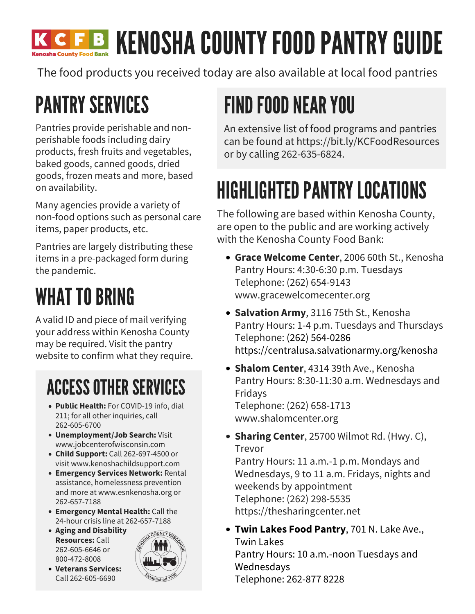

The food products you received today are also available at local food pantries

# **PANTRY SERVICES**

Pantries provide perishable and non perishable foods including dairy products, fresh fruits and vegetables, baked goods, canned goods, dried goods, frozen meats and more, based on availability.

Many agencies provide a variety of non-food options such as personal care items, paper products, etc.

Pantries are largely distributing these items in a pre-packaged form during the pandemic.

## WHAT TO BRING

A valid ID and piece of mail verifying your address within Kenosha County may be required. Visit the pantry website to confirm what they require.

## **ACCESS OTHER SERVICES**

- **Public Health:** For COVID-19 info, dial 211; for all other inquiries, call 262-605-6700
- **Unemployment/Job Search:** Visit www.jobcenterofwisconsin.com
- **Child Support:** Call 262-697-4500 or visit www.kenoshachildsupport.com
- **Emergency Services Network:** Rental assistance, homelessness prevention and more at www.esnkenosha.org or 262-657-7188
- **Emergency Mental Health:** Call the 24-hour crisis line at 262-657-7188
- **Aging and Disability Resources:** Call 262-605-6646 or 800-472-8008



**Veterans Services:** Call 262-605-6690

# FIND FOOD NEAR YOU

An extensive list of food programs and pantries can be found at https://bit.ly/KCFoodResources or by calling 262-635-6824.

# **HIGHLIGHTED PANTRY LOCATIONS**

The following are based within Kenosha County, are open to the public and are working actively with the Kenosha County Food Bank:

- **Grace Welcome Center**, 2006 60th St., Kenosha Pantry Hours: 4:30-6:30 p.m. Tuesdays Telephone: (262) 654-9143 www.gracewelcomecenter.org
- **Salvation Army**, 3116 75th St., Kenosha Pantry Hours: 1-4 p.m. Tuesdays and Thursdays Telephone: (262) 564-0286 https://centralusa.salvationarmy.org/kenosha
- **Shalom Center**, 4314 39th Ave., Kenosha Pantry Hours: 8:30-11:30 a.m. Wednesdays and Fridays Telephone: (262) 658-1713

www.shalomcenter.org

**Sharing Center**, 25700 Wilmot Rd. (Hwy. C), Trevor

Pantry Hours: 11 a.m.-1 p.m. Mondays and Wednesdays, 9 to 11 a.m. Fridays, nights and weekends by appointment Telephone: (262) 298-5535 https://thesharingcenter.net

**Twin Lakes Food Pantry**, 701 N. Lake Ave., Twin Lakes Pantry Hours: 10 a.m.-noon Tuesdays and Wednesdays Telephone: 262-877 8228